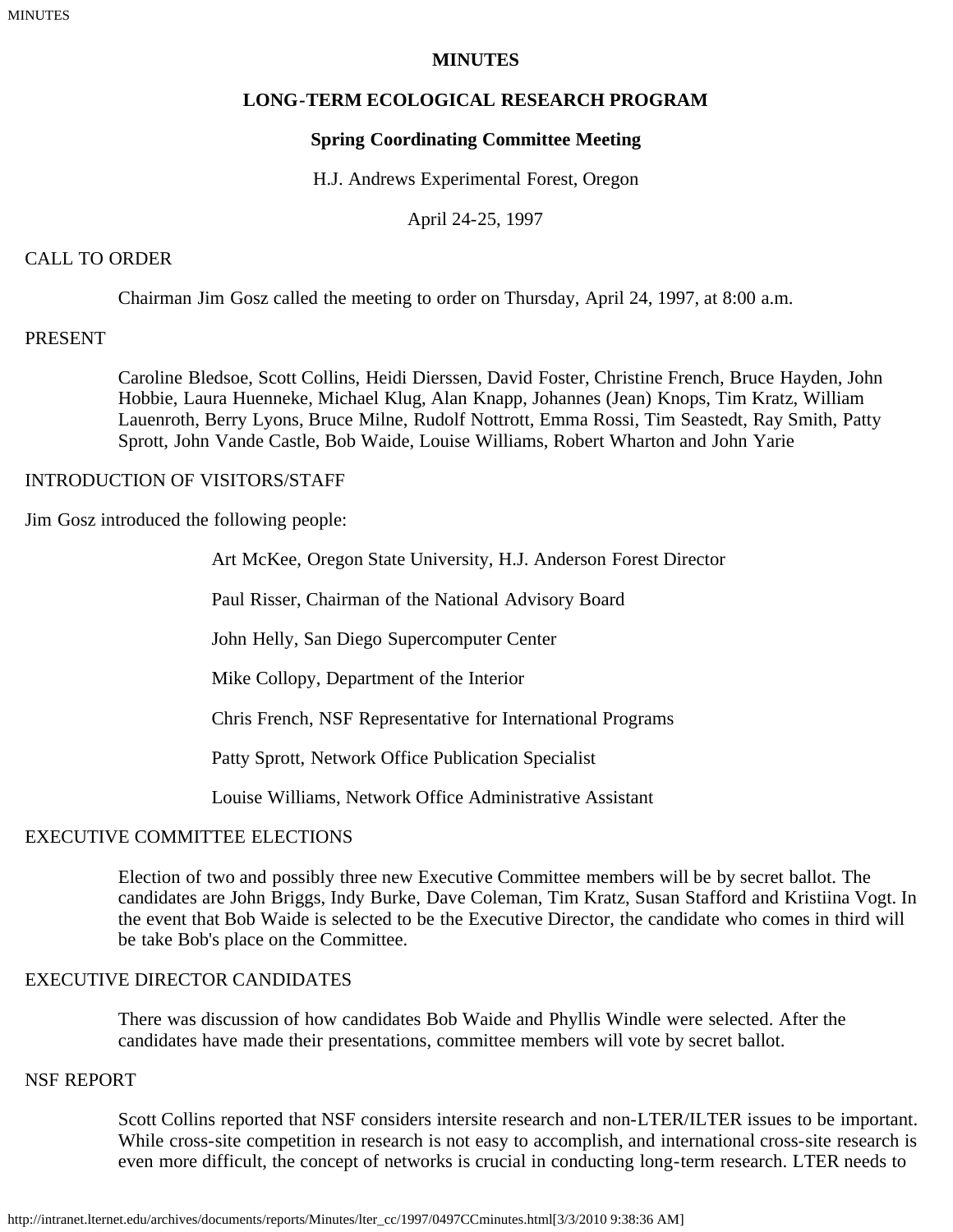## **MINUTES**

# **LONG-TERM ECOLOGICAL RESEARCH PROGRAM**

### **Spring Coordinating Committee Meeting**

H.J. Andrews Experimental Forest, Oregon

April 24-25, 1997

#### CALL TO ORDER

Chairman Jim Gosz called the meeting to order on Thursday, April 24, 1997, at 8:00 a.m.

### PRESENT

Caroline Bledsoe, Scott Collins, Heidi Dierssen, David Foster, Christine French, Bruce Hayden, John Hobbie, Laura Huenneke, Michael Klug, Alan Knapp, Johannes (Jean) Knops, Tim Kratz, William Lauenroth, Berry Lyons, Bruce Milne, Rudolf Nottrott, Emma Rossi, Tim Seastedt, Ray Smith, Patty Sprott, John Vande Castle, Bob Waide, Louise Williams, Robert Wharton and John Yarie

### INTRODUCTION OF VISITORS/STAFF

Jim Gosz introduced the following people:

Art McKee, Oregon State University, H.J. Anderson Forest Director

Paul Risser, Chairman of the National Advisory Board

John Helly, San Diego Supercomputer Center

Mike Collopy, Department of the Interior

Chris French, NSF Representative for International Programs

Patty Sprott, Network Office Publication Specialist

Louise Williams, Network Office Administrative Assistant

#### EXECUTIVE COMMITTEE ELECTIONS

Election of two and possibly three new Executive Committee members will be by secret ballot. The candidates are John Briggs, Indy Burke, Dave Coleman, Tim Kratz, Susan Stafford and Kristiina Vogt. In the event that Bob Waide is selected to be the Executive Director, the candidate who comes in third will be take Bob's place on the Committee.

# EXECUTIVE DIRECTOR CANDIDATES

There was discussion of how candidates Bob Waide and Phyllis Windle were selected. After the candidates have made their presentations, committee members will vote by secret ballot.

## NSF REPORT

Scott Collins reported that NSF considers intersite research and non-LTER/ILTER issues to be important. While cross-site competition in research is not easy to accomplish, and international cross-site research is even more difficult, the concept of networks is crucial in conducting long-term research. LTER needs to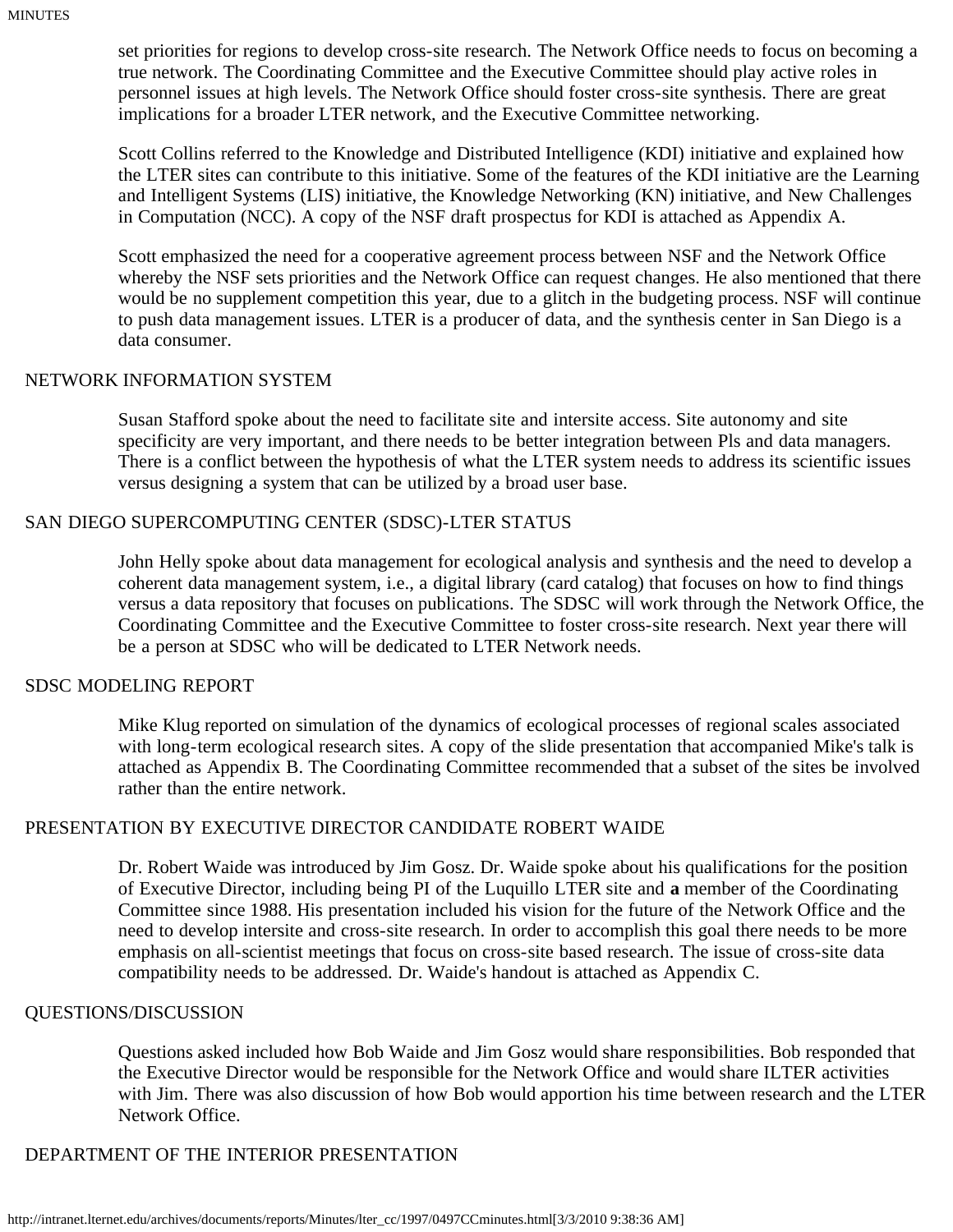set priorities for regions to develop cross-site research. The Network Office needs to focus on becoming a true network. The Coordinating Committee and the Executive Committee should play active roles in personnel issues at high levels. The Network Office should foster cross-site synthesis. There are great implications for a broader LTER network, and the Executive Committee networking.

Scott Collins referred to the Knowledge and Distributed Intelligence (KDI) initiative and explained how the LTER sites can contribute to this initiative. Some of the features of the KDI initiative are the Learning and Intelligent Systems (LIS) initiative, the Knowledge Networking (KN) initiative, and New Challenges in Computation (NCC). A copy of the NSF draft prospectus for KDI is attached as Appendix A.

Scott emphasized the need for a cooperative agreement process between NSF and the Network Office whereby the NSF sets priorities and the Network Office can request changes. He also mentioned that there would be no supplement competition this year, due to a glitch in the budgeting process. NSF will continue to push data management issues. LTER is a producer of data, and the synthesis center in San Diego is a data consumer.

#### NETWORK INFORMATION SYSTEM

Susan Stafford spoke about the need to facilitate site and intersite access. Site autonomy and site specificity are very important, and there needs to be better integration between Pls and data managers. There is a conflict between the hypothesis of what the LTER system needs to address its scientific issues versus designing a system that can be utilized by a broad user base.

#### SAN DIEGO SUPERCOMPUTING CENTER (SDSC)-LTER STATUS

John Helly spoke about data management for ecological analysis and synthesis and the need to develop a coherent data management system, i.e., a digital library (card catalog) that focuses on how to find things versus a data repository that focuses on publications. The SDSC will work through the Network Office, the Coordinating Committee and the Executive Committee to foster cross-site research. Next year there will be a person at SDSC who will be dedicated to LTER Network needs.

#### SDSC MODELING REPORT

Mike Klug reported on simulation of the dynamics of ecological processes of regional scales associated with long-term ecological research sites. A copy of the slide presentation that accompanied Mike's talk is attached as Appendix B. The Coordinating Committee recommended that a subset of the sites be involved rather than the entire network.

#### PRESENTATION BY EXECUTIVE DIRECTOR CANDIDATE ROBERT WAIDE

Dr. Robert Waide was introduced by Jim Gosz. Dr. Waide spoke about his qualifications for the position of Executive Director, including being PI of the Luquillo LTER site and **a** member of the Coordinating Committee since 1988. His presentation included his vision for the future of the Network Office and the need to develop intersite and cross-site research. In order to accomplish this goal there needs to be more emphasis on all-scientist meetings that focus on cross-site based research. The issue of cross-site data compatibility needs to be addressed. Dr. Waide's handout is attached as Appendix C.

#### QUESTIONS/DISCUSSION

Questions asked included how Bob Waide and Jim Gosz would share responsibilities. Bob responded that the Executive Director would be responsible for the Network Office and would share ILTER activities with Jim. There was also discussion of how Bob would apportion his time between research and the LTER Network Office.

# DEPARTMENT OF THE INTERIOR PRESENTATION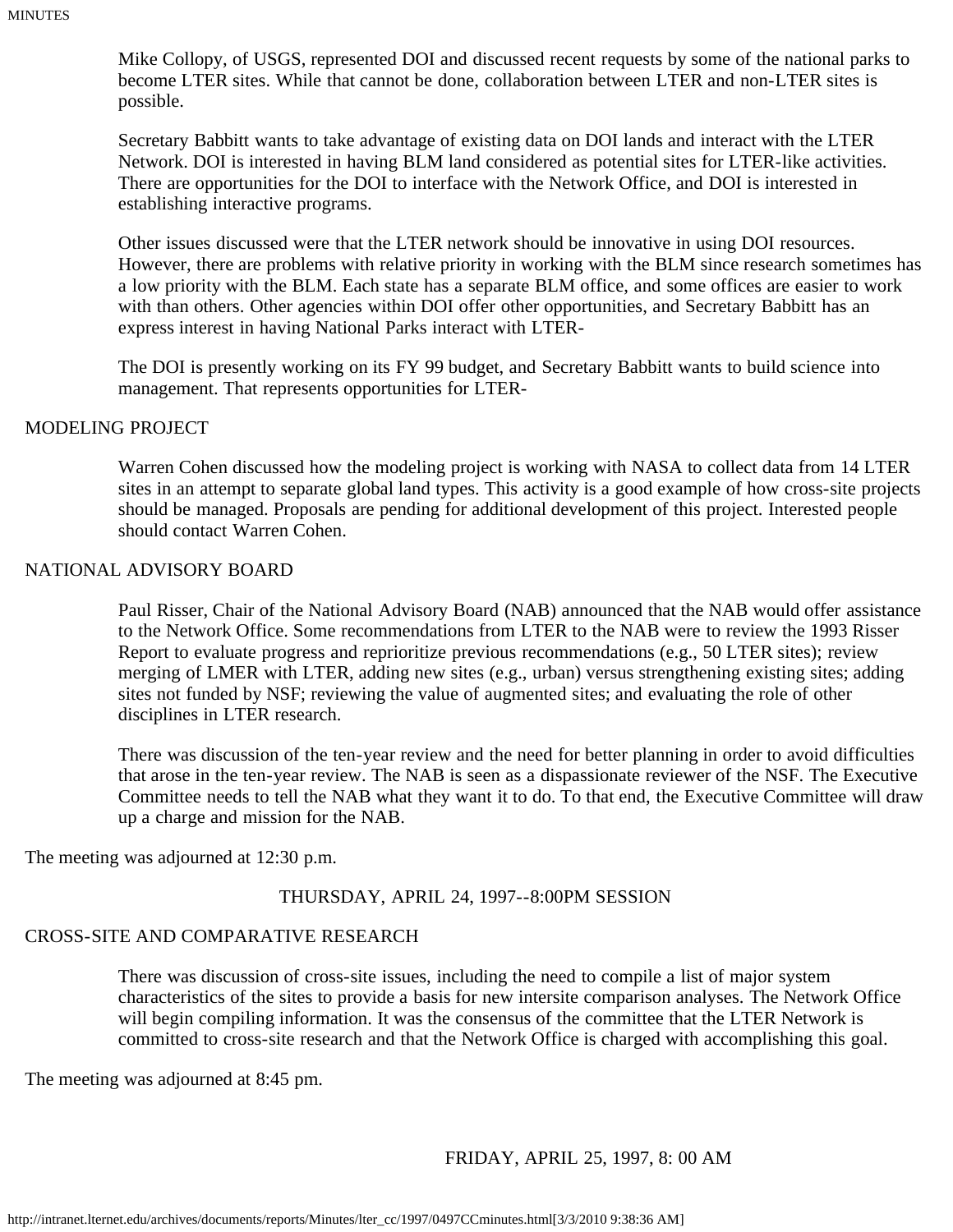Mike Collopy, of USGS, represented DOI and discussed recent requests by some of the national parks to become LTER sites. While that cannot be done, collaboration between LTER and non-LTER sites is possible.

Secretary Babbitt wants to take advantage of existing data on DOI lands and interact with the LTER Network. DOI is interested in having BLM land considered as potential sites for LTER-like activities. There are opportunities for the DOI to interface with the Network Office, and DOI is interested in establishing interactive programs.

Other issues discussed were that the LTER network should be innovative in using DOI resources. However, there are problems with relative priority in working with the BLM since research sometimes has a low priority with the BLM. Each state has a separate BLM office, and some offices are easier to work with than others. Other agencies within DOI offer other opportunities, and Secretary Babbitt has an express interest in having National Parks interact with LTER-

The DOI is presently working on its FY 99 budget, and Secretary Babbitt wants to build science into management. That represents opportunities for LTER-

#### MODELING PROJECT

Warren Cohen discussed how the modeling project is working with NASA to collect data from 14 LTER sites in an attempt to separate global land types. This activity is a good example of how cross-site projects should be managed. Proposals are pending for additional development of this project. Interested people should contact Warren Cohen.

#### NATIONAL ADVISORY BOARD

Paul Risser, Chair of the National Advisory Board (NAB) announced that the NAB would offer assistance to the Network Office. Some recommendations from LTER to the NAB were to review the 1993 Risser Report to evaluate progress and reprioritize previous recommendations (e.g., 50 LTER sites); review merging of LMER with LTER, adding new sites (e.g., urban) versus strengthening existing sites; adding sites not funded by NSF; reviewing the value of augmented sites; and evaluating the role of other disciplines in LTER research.

There was discussion of the ten-year review and the need for better planning in order to avoid difficulties that arose in the ten-year review. The NAB is seen as a dispassionate reviewer of the NSF. The Executive Committee needs to tell the NAB what they want it to do. To that end, the Executive Committee will draw up a charge and mission for the NAB.

The meeting was adjourned at 12:30 p.m.

#### THURSDAY, APRIL 24, 1997--8:00PM SESSION

# CROSS-SITE AND COMPARATIVE RESEARCH

There was discussion of cross-site issues, including the need to compile a list of major system characteristics of the sites to provide a basis for new intersite comparison analyses. The Network Office will begin compiling information. It was the consensus of the committee that the LTER Network is committed to cross-site research and that the Network Office is charged with accomplishing this goal.

The meeting was adjourned at 8:45 pm.

FRIDAY, APRIL 25, 1997, 8: 00 AM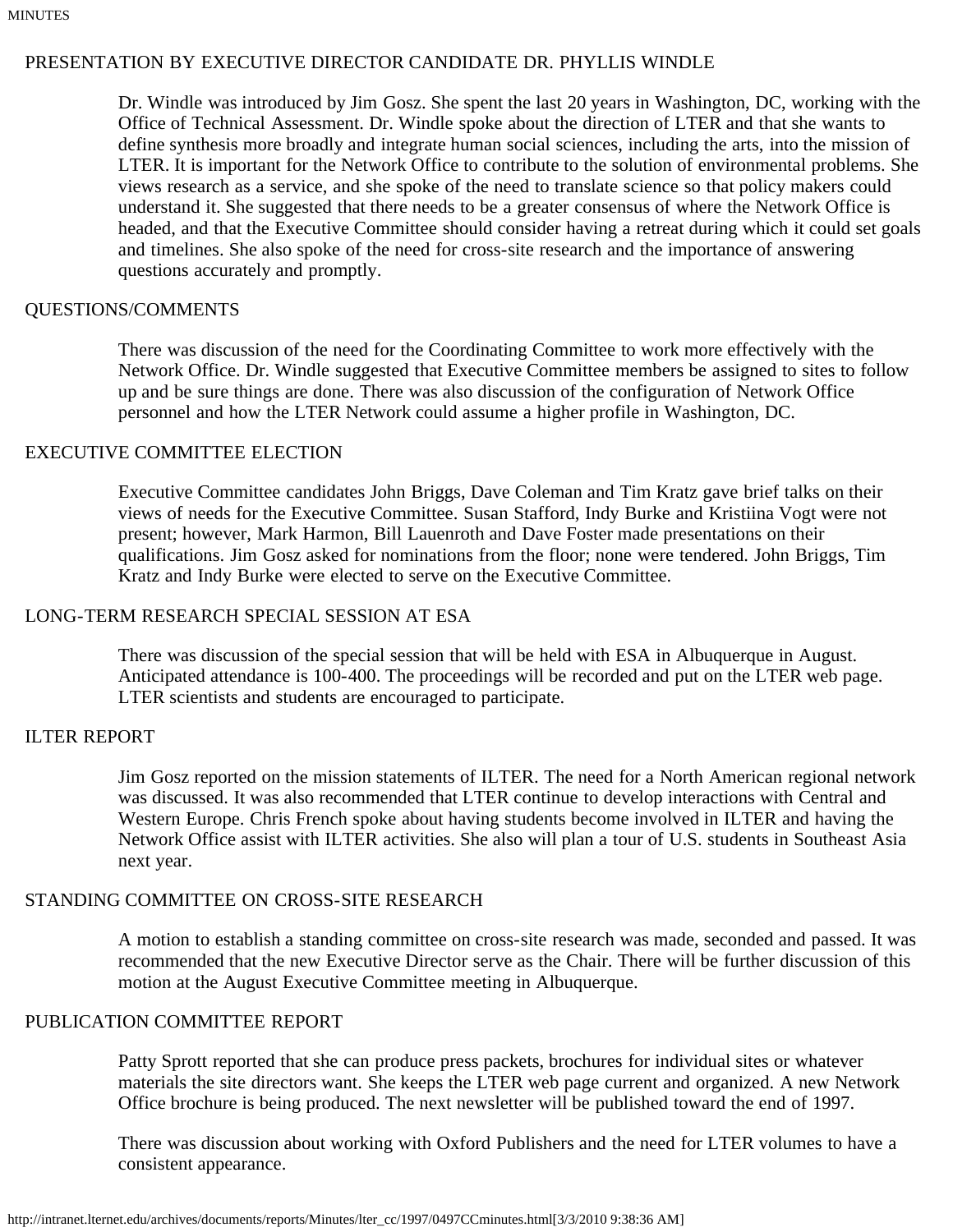# PRESENTATION BY EXECUTIVE DIRECTOR CANDIDATE DR. PHYLLIS WINDLE

Dr. Windle was introduced by Jim Gosz. She spent the last 20 years in Washington, DC, working with the Office of Technical Assessment. Dr. Windle spoke about the direction of LTER and that she wants to define synthesis more broadly and integrate human social sciences, including the arts, into the mission of LTER. It is important for the Network Office to contribute to the solution of environmental problems. She views research as a service, and she spoke of the need to translate science so that policy makers could understand it. She suggested that there needs to be a greater consensus of where the Network Office is headed, and that the Executive Committee should consider having a retreat during which it could set goals and timelines. She also spoke of the need for cross-site research and the importance of answering questions accurately and promptly.

# QUESTIONS/COMMENTS

There was discussion of the need for the Coordinating Committee to work more effectively with the Network Office. Dr. Windle suggested that Executive Committee members be assigned to sites to follow up and be sure things are done. There was also discussion of the configuration of Network Office personnel and how the LTER Network could assume a higher profile in Washington, DC.

### EXECUTIVE COMMITTEE ELECTION

Executive Committee candidates John Briggs, Dave Coleman and Tim Kratz gave brief talks on their views of needs for the Executive Committee. Susan Stafford, Indy Burke and Kristiina Vogt were not present; however, Mark Harmon, Bill Lauenroth and Dave Foster made presentations on their qualifications. Jim Gosz asked for nominations from the floor; none were tendered. John Briggs, Tim Kratz and Indy Burke were elected to serve on the Executive Committee.

# LONG-TERM RESEARCH SPECIAL SESSION AT ESA

There was discussion of the special session that will be held with ESA in Albuquerque in August. Anticipated attendance is 100-400. The proceedings will be recorded and put on the LTER web page. LTER scientists and students are encouraged to participate.

# ILTER REPORT

Jim Gosz reported on the mission statements of ILTER. The need for a North American regional network was discussed. It was also recommended that LTER continue to develop interactions with Central and Western Europe. Chris French spoke about having students become involved in ILTER and having the Network Office assist with ILTER activities. She also will plan a tour of U.S. students in Southeast Asia next year.

# STANDING COMMITTEE ON CROSS-SITE RESEARCH

A motion to establish a standing committee on cross-site research was made, seconded and passed. It was recommended that the new Executive Director serve as the Chair. There will be further discussion of this motion at the August Executive Committee meeting in Albuquerque.

## PUBLICATION COMMITTEE REPORT

Patty Sprott reported that she can produce press packets, brochures for individual sites or whatever materials the site directors want. She keeps the LTER web page current and organized. A new Network Office brochure is being produced. The next newsletter will be published toward the end of 1997.

There was discussion about working with Oxford Publishers and the need for LTER volumes to have a consistent appearance.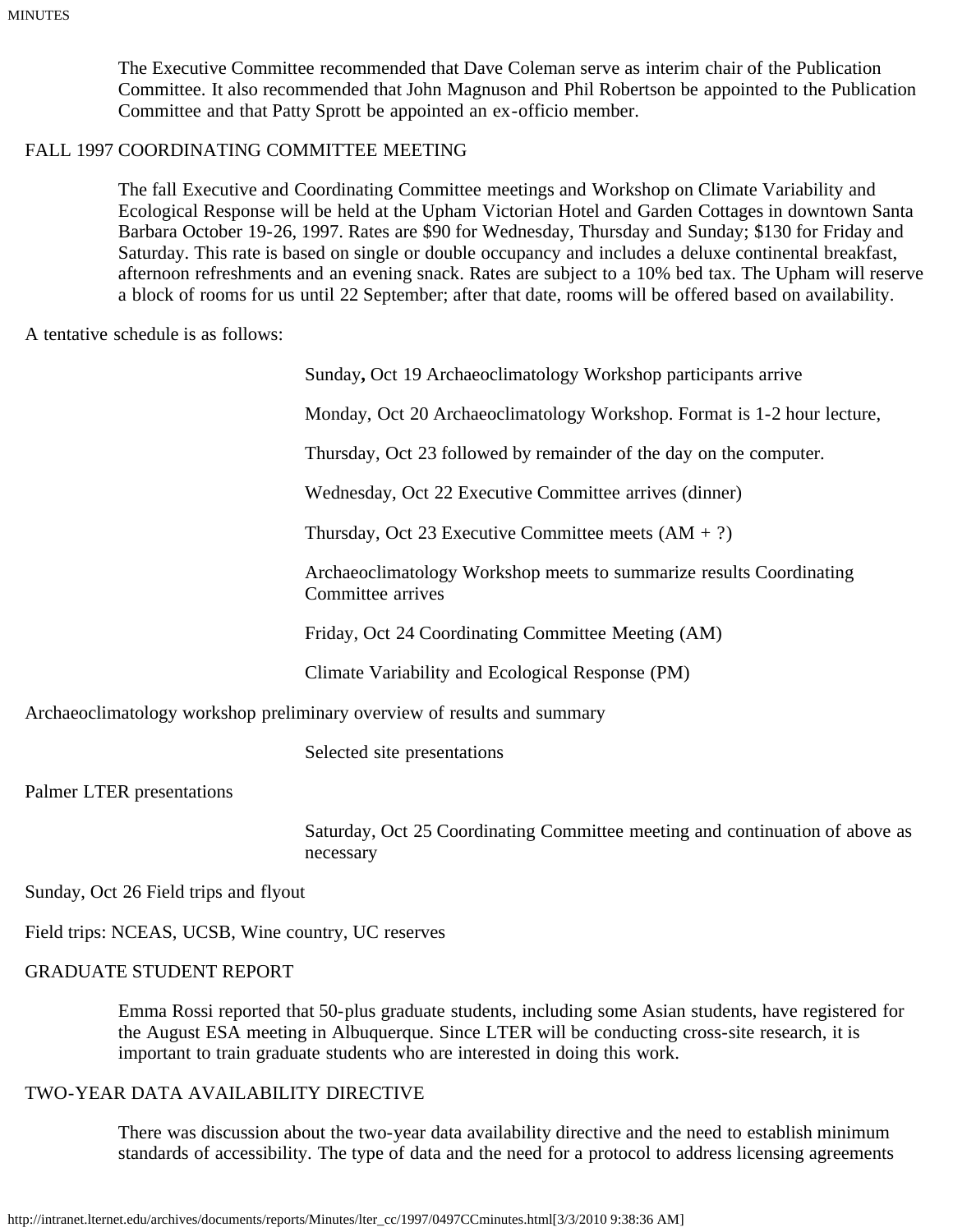The Executive Committee recommended that Dave Coleman serve as interim chair of the Publication Committee. It also recommended that John Magnuson and Phil Robertson be appointed to the Publication Committee and that Patty Sprott be appointed an ex-officio member.

### FALL 1997 COORDINATING COMMITTEE MEETING

The fall Executive and Coordinating Committee meetings and Workshop on Climate Variability and Ecological Response will be held at the Upham Victorian Hotel and Garden Cottages in downtown Santa Barbara October 19-26, 1997. Rates are \$90 for Wednesday, Thursday and Sunday; \$130 for Friday and Saturday. This rate is based on single or double occupancy and includes a deluxe continental breakfast, afternoon refreshments and an evening snack. Rates are subject to a 10% bed tax. The Upham will reserve a block of rooms for us until 22 September; after that date, rooms will be offered based on availability.

A tentative schedule is as follows:

| Sunday, Oct 19 Archaeoclimatology Workshop participants arrive |  |  |  |  |  |  |  |  |  |
|----------------------------------------------------------------|--|--|--|--|--|--|--|--|--|
|----------------------------------------------------------------|--|--|--|--|--|--|--|--|--|

Monday, Oct 20 Archaeoclimatology Workshop. Format is 1-2 hour lecture,

Thursday, Oct 23 followed by remainder of the day on the computer.

Wednesday, Oct 22 Executive Committee arrives (dinner)

Thursday, Oct 23 Executive Committee meets  $(AM + ?)$ 

Archaeoclimatology Workshop meets to summarize results Coordinating Committee arrives

Friday, Oct 24 Coordinating Committee Meeting (AM)

Climate Variability and Ecological Response (PM)

Archaeoclimatology workshop preliminary overview of results and summary

Selected site presentations

Palmer LTER presentations

Saturday, Oct 25 Coordinating Committee meeting and continuation of above as necessary

Sunday, Oct 26 Field trips and flyout

Field trips: NCEAS, UCSB, Wine country, UC reserves

#### GRADUATE STUDENT REPORT

Emma Rossi reported that 50-plus graduate students, including some Asian students, have registered for the August ESA meeting in Albuquerque. Since LTER will be conducting cross-site research, it is important to train graduate students who are interested in doing this work.

#### TWO-YEAR DATA AVAILABILITY DIRECTIVE

There was discussion about the two-year data availability directive and the need to establish minimum standards of accessibility. The type of data and the need for a protocol to address licensing agreements